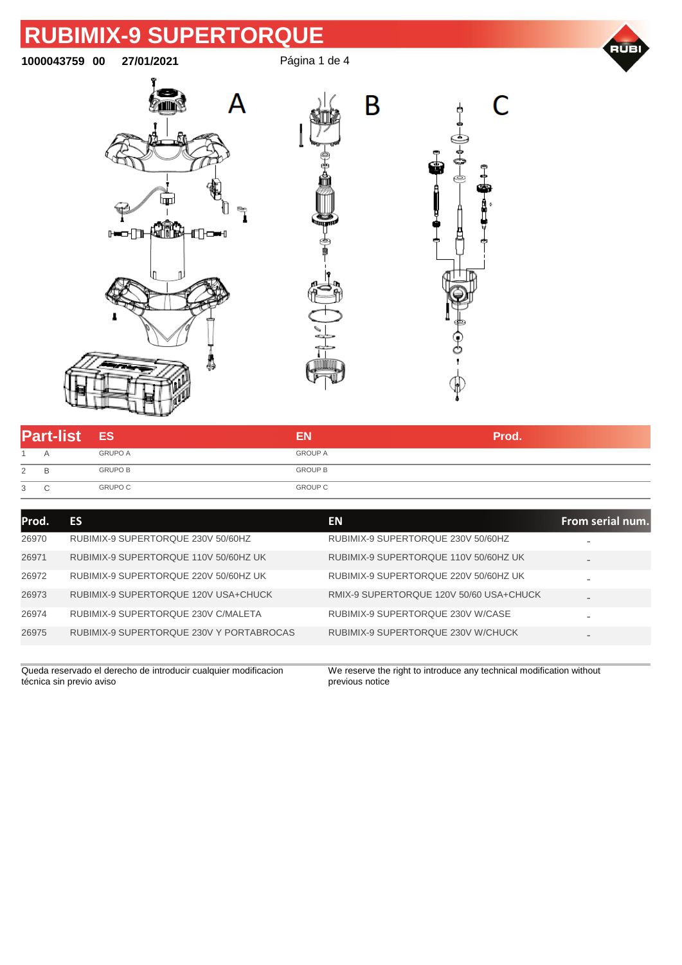

**1000043759 00 27/01/2021** Página 1 de 4

B







| <b>Part-list ES</b> |   |                | ΕN             | Prod. |
|---------------------|---|----------------|----------------|-------|
|                     | ▵ | <b>GRUPO A</b> | <b>GROUP A</b> |       |
| 2                   |   | <b>GRUPO B</b> | <b>GROUP B</b> |       |
| 3                   |   | <b>GRUPO C</b> | <b>GROUP C</b> |       |

| Prod. | <b>ES</b>                                | EN.                                     | From serial num.             |
|-------|------------------------------------------|-----------------------------------------|------------------------------|
| 26970 | RUBIMIX-9 SUPERTORQUE 230V 50/60HZ       | RUBIMIX-9 SUPERTORQUE 230V 50/60HZ      |                              |
| 26971 | RUBIMIX-9 SUPERTORQUE 110V 50/60HZ UK    | RUBIMIX-9 SUPERTORQUE 110V 50/60HZ UK   | $\overline{\phantom{0}}$     |
| 26972 | RUBIMIX-9 SUPERTORQUE 220V 50/60HZ UK    | RUBIMIX-9 SUPERTORQUE 220V 50/60HZ UK   | $\qquad \qquad$              |
| 26973 | RUBIMIX-9 SUPERTORQUE 120V USA+CHUCK     | RMIX-9 SUPERTORQUE 120V 50/60 USA+CHUCK | $\qquad \qquad$              |
| 26974 | RUBIMIX-9 SUPERTORQUE 230V C/MALETA      | RUBIMIX-9 SUPERTORQUE 230V W/CASE       | $\qquad \qquad \blacksquare$ |
| 26975 | RUBIMIX-9 SUPERTORQUE 230V Y PORTABROCAS | RUBIMIX-9 SUPERTORQUE 230V W/CHUCK      | $\overline{\phantom{0}}$     |
|       |                                          |                                         |                              |

Queda reservado el derecho de introducir cualquier modificacion técnica sin previo aviso

We reserve the right to introduce any technical modification without previous notice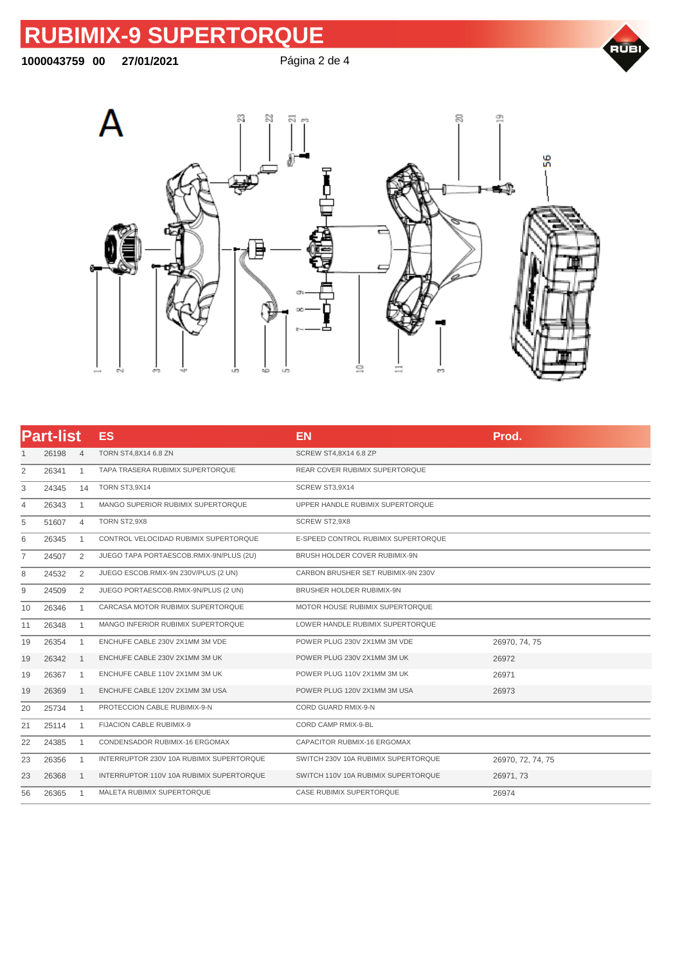#### **00 27/01/2021** Página 2 de 4





|                | <b>Part-list</b> |                | <b>ES</b>                                | <b>EN</b>                           | Prod.             |
|----------------|------------------|----------------|------------------------------------------|-------------------------------------|-------------------|
| 1              | 26198            | $\overline{4}$ | TORN ST4,8X14 6.8 ZN                     | SCREW ST4,8X14 6.8 ZP               |                   |
| $\overline{2}$ | 26341            | 1              | TAPA TRASERA RUBIMIX SUPERTORQUE         | REAR COVER RUBIMIX SUPERTORQUE      |                   |
| 3              | 24345            | 14             | <b>TORN ST3,9X14</b>                     | SCREW ST3,9X14                      |                   |
| 4              | 26343            | $\mathbf{1}$   | MANGO SUPERIOR RUBIMIX SUPERTORQUE       | UPPER HANDLE RUBIMIX SUPERTORQUE    |                   |
| 5              | 51607            | $\overline{4}$ | TORN ST2,9X8                             | SCREW ST2,9X8                       |                   |
| 6              | 26345            | $\mathbf{1}$   | CONTROL VELOCIDAD RUBIMIX SUPERTORQUE    | E-SPEED CONTROL RUBIMIX SUPERTORQUE |                   |
| 7              | 24507            | 2              | JUEGO TAPA PORTAESCOB.RMIX-9N/PLUS (2U)  | BRUSH HOLDER COVER RUBIMIX-9N       |                   |
| 8              | 24532            | 2              | JUEGO ESCOB.RMIX-9N 230V/PLUS (2 UN)     | CARBON BRUSHER SET RUBIMIX-9N 230V  |                   |
| 9              | 24509            | 2              | JUEGO PORTAESCOB.RMIX-9N/PLUS (2 UN)     | BRUSHER HOLDER RUBIMIX-9N           |                   |
| 10             | 26346            | $\mathbf{1}$   | CARCASA MOTOR RUBIMIX SUPERTORQUE        | MOTOR HOUSE RUBIMIX SUPERTORQUE     |                   |
| 11             | 26348            | $\mathbf{1}$   | MANGO INFERIOR RUBIMIX SUPERTORQUE       | LOWER HANDLE RUBIMIX SUPERTORQUE    |                   |
| 19             | 26354            | $\mathbf{1}$   | ENCHUFE CABLE 230V 2X1MM 3M VDE          | POWER PLUG 230V 2X1MM 3M VDE        | 26970, 74, 75     |
| 19             | 26342            | $\mathbf{1}$   | ENCHUFE CABLE 230V 2X1MM 3M UK           | POWER PLUG 230V 2X1MM 3M UK         | 26972             |
| 19             | 26367            | $\mathbf{1}$   | ENCHUFE CABLE 110V 2X1MM 3M UK           | POWER PLUG 110V 2X1MM 3M UK         | 26971             |
| 19             | 26369            | $\mathbf{1}$   | ENCHUFE CABLE 120V 2X1MM 3M USA          | POWER PLUG 120V 2X1MM 3M USA        | 26973             |
| 20             | 25734            | $\mathbf{1}$   | PROTECCION CABLE RUBIMIX-9-N             | CORD GUARD RMIX-9-N                 |                   |
| 21             | 25114            | $\mathbf{1}$   | FIJACION CABLE RUBIMIX-9                 | CORD CAMP RMIX-9-BL                 |                   |
| 22             | 24385            | 1              | CONDENSADOR RUBIMIX-16 ERGOMAX           | CAPACITOR RUBMIX-16 ERGOMAX         |                   |
| 23             | 26356            | $\mathbf{1}$   | INTERRUPTOR 230V 10A RUBIMIX SUPERTORQUE | SWITCH 230V 10A RUBIMIX SUPERTORQUE | 26970, 72, 74, 75 |
| 23             | 26368            | $\mathbf{1}$   | INTERRUPTOR 110V 10A RUBIMIX SUPERTORQUE | SWITCH 110V 10A RUBIMIX SUPERTORQUE | 26971, 73         |
| 56             | 26365            | $\mathbf{1}$   | MALETA RUBIMIX SUPERTORQUE               | CASE RUBIMIX SUPERTORQUE            | 26974             |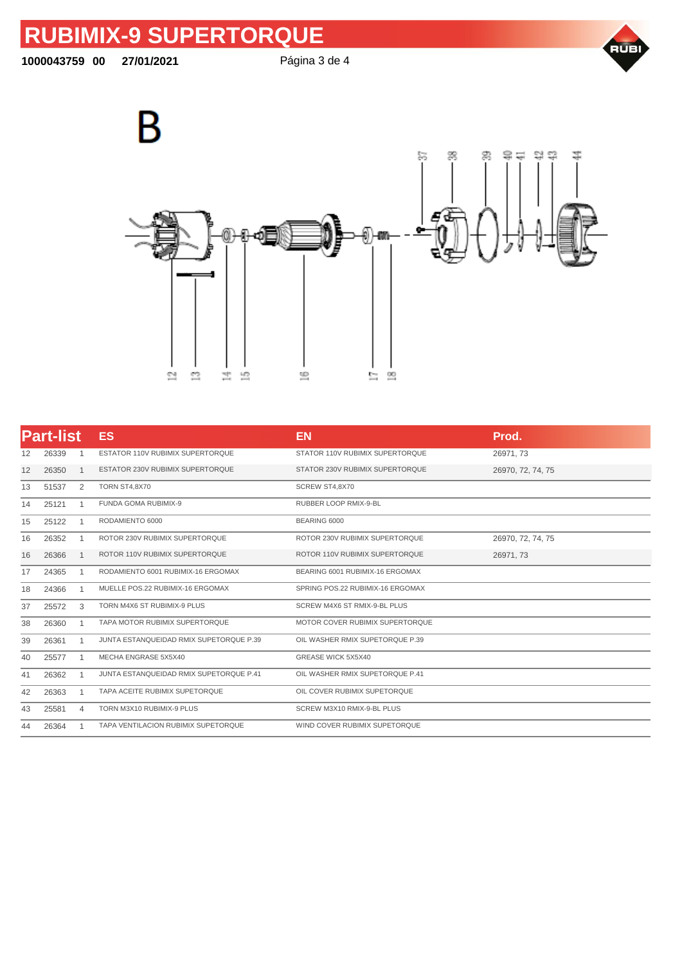**00 27/01/2021** Página 3 de 4







|    | <b>Part-list</b> |                | <b>ES</b>                               | <b>EN</b>                        | Prod.             |
|----|------------------|----------------|-----------------------------------------|----------------------------------|-------------------|
| 12 | 26339            |                | ESTATOR 110V RUBIMIX SUPERTORQUE        | STATOR 110V RUBIMIX SUPERTORQUE  | 26971, 73         |
| 12 | 26350            | -1             | ESTATOR 230V RUBIMIX SUPERTORQUE        | STATOR 230V RUBIMIX SUPERTORQUE  | 26970, 72, 74, 75 |
| 13 | 51537            | 2              | TORN ST4,8X70                           | SCREW ST4,8X70                   |                   |
| 14 | 25121            | 1              | <b>FUNDA GOMA RUBIMIX-9</b>             | RUBBER LOOP RMIX-9-BL            |                   |
| 15 | 25122            | $\mathbf{1}$   | RODAMIENTO 6000                         | BEARING 6000                     |                   |
| 16 | 26352            | $\mathbf{1}$   | ROTOR 230V RUBIMIX SUPERTORQUE          | ROTOR 230V RUBIMIX SUPERTORQUE   | 26970, 72, 74, 75 |
| 16 | 26366            | -1             | ROTOR 110V RUBIMIX SUPERTORQUE          | ROTOR 110V RUBIMIX SUPERTORQUE   | 26971, 73         |
| 17 | 24365            |                | RODAMIENTO 6001 RUBIMIX-16 ERGOMAX      | BEARING 6001 RUBIMIX-16 ERGOMAX  |                   |
| 18 | 24366            |                | MUELLE POS.22 RUBIMIX-16 ERGOMAX        | SPRING POS.22 RUBIMIX-16 ERGOMAX |                   |
| 37 | 25572            | 3              | TORN M4X6 ST RUBIMIX-9 PLUS             | SCREW M4X6 ST RMIX-9-BL PLUS     |                   |
| 38 | 26360            | $\overline{1}$ | TAPA MOTOR RUBIMIX SUPERTORQUE          | MOTOR COVER RUBIMIX SUPERTORQUE  |                   |
| 39 | 26361            | -1             | JUNTA ESTANQUEIDAD RMIX SUPETORQUE P.39 | OIL WASHER RMIX SUPETORQUE P.39  |                   |
| 40 | 25577            |                | MECHA ENGRASE 5X5X40                    | GREASE WICK 5X5X40               |                   |
| 41 | 26362            | 1              | JUNTA ESTANQUEIDAD RMIX SUPETORQUE P.41 | OIL WASHER RMIX SUPETORQUE P.41  |                   |
| 42 | 26363            | $\overline{1}$ | TAPA ACEITE RUBIMIX SUPETORQUE          | OIL COVER RUBIMIX SUPETORQUE     |                   |
| 43 | 25581            | 4              | TORN M3X10 RUBIMIX-9 PLUS               | SCREW M3X10 RMIX-9-BL PLUS       |                   |
| 44 | 26364            |                | TAPA VENTILACION RUBIMIX SUPETORQUE     | WIND COVER RUBIMIX SUPETORQUE    |                   |